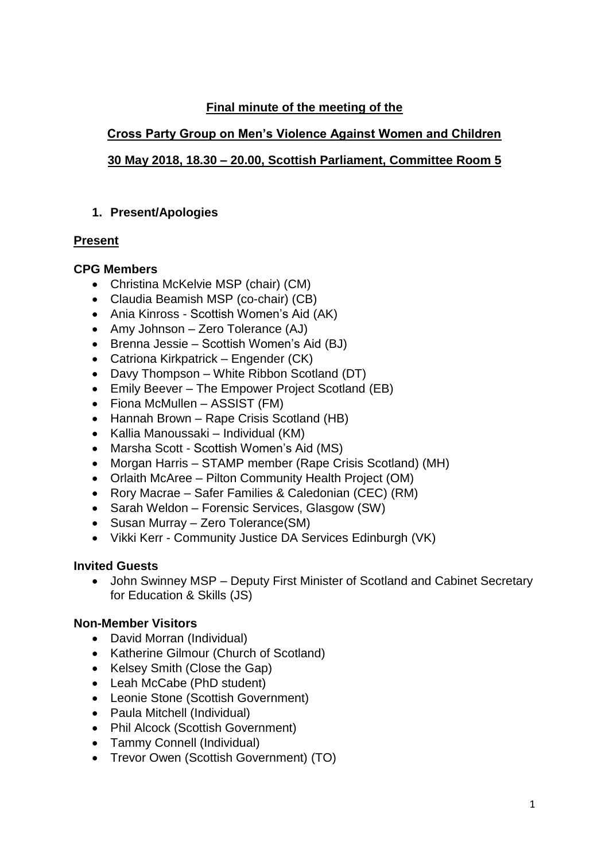## **Final minute of the meeting of the**

# **Cross Party Group on Men's Violence Against Women and Children**

## **30 May 2018, 18.30 – 20.00, Scottish Parliament, Committee Room 5**

### **1. Present/Apologies**

## **Present**

### **CPG Members**

- Christina McKelvie MSP (chair) (CM)
- Claudia Beamish MSP (co-chair) (CB)
- Ania Kinross Scottish Women's Aid (AK)
- Amy Johnson Zero Tolerance (AJ)
- Brenna Jessie Scottish Women's Aid (BJ)
- Catriona Kirkpatrick Engender (CK)
- Davy Thompson White Ribbon Scotland (DT)
- Emily Beever The Empower Project Scotland (EB)
- Fiona McMullen ASSIST (FM)
- Hannah Brown Rape Crisis Scotland (HB)
- Kallia Manoussaki Individual (KM)
- Marsha Scott Scottish Women's Aid (MS)
- Morgan Harris STAMP member (Rape Crisis Scotland) (MH)
- Orlaith McAree Pilton Community Health Project (OM)
- Rory Macrae Safer Families & Caledonian (CEC) (RM)
- Sarah Weldon Forensic Services, Glasgow (SW)
- Susan Murray Zero Tolerance (SM)
- Vikki Kerr Community Justice DA Services Edinburgh (VK)

# **Invited Guests**

• John Swinney MSP – Deputy First Minister of Scotland and Cabinet Secretary for Education & Skills (JS)

# **Non-Member Visitors**

- David Morran (Individual)
- Katherine Gilmour (Church of Scotland)
- Kelsey Smith (Close the Gap)
- Leah McCabe (PhD student)
- Leonie Stone (Scottish Government)
- Paula Mitchell (Individual)
- Phil Alcock (Scottish Government)
- Tammy Connell (Individual)
- Trevor Owen (Scottish Government) (TO)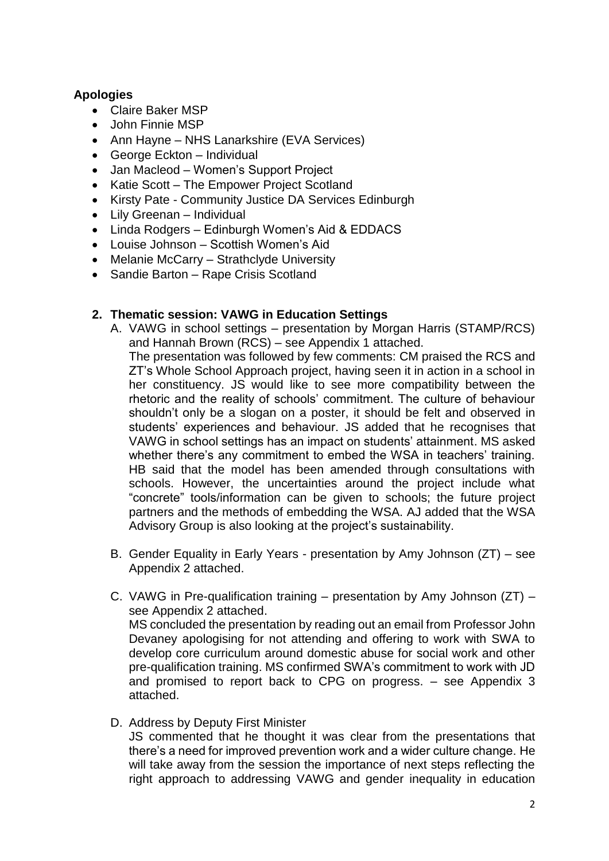### **Apologies**

- Claire Baker MSP
- John Finnie MSP
- Ann Hayne NHS Lanarkshire (EVA Services)
- George Eckton Individual
- Jan Macleod Women's Support Project
- Katie Scott The Empower Project Scotland
- Kirsty Pate Community Justice DA Services Edinburgh
- Lily Greenan Individual
- Linda Rodgers Edinburgh Women's Aid & EDDACS
- Louise Johnson Scottish Women's Aid
- Melanie McCarry Strathclyde University
- Sandie Barton Rape Crisis Scotland

#### **2. Thematic session: VAWG in Education Settings**

A. VAWG in school settings – presentation by Morgan Harris (STAMP/RCS) and Hannah Brown (RCS) – see Appendix 1 attached.

The presentation was followed by few comments: CM praised the RCS and ZT's Whole School Approach project, having seen it in action in a school in her constituency. JS would like to see more compatibility between the rhetoric and the reality of schools' commitment. The culture of behaviour shouldn't only be a slogan on a poster, it should be felt and observed in students' experiences and behaviour. JS added that he recognises that VAWG in school settings has an impact on students' attainment. MS asked whether there's any commitment to embed the WSA in teachers' training. HB said that the model has been amended through consultations with schools. However, the uncertainties around the project include what "concrete" tools/information can be given to schools; the future project partners and the methods of embedding the WSA. AJ added that the WSA Advisory Group is also looking at the project's sustainability.

- B. Gender Equality in Early Years presentation by Amy Johnson (ZT) see Appendix 2 attached.
- C. VAWG in Pre-qualification training presentation by Amy Johnson (ZT) see Appendix 2 attached. MS concluded the presentation by reading out an email from Professor John Devaney apologising for not attending and offering to work with SWA to develop core curriculum around domestic abuse for social work and other pre-qualification training. MS confirmed SWA's commitment to work with JD and promised to report back to CPG on progress. – see Appendix 3 attached.
- D. Address by Deputy First Minister

JS commented that he thought it was clear from the presentations that there's a need for improved prevention work and a wider culture change. He will take away from the session the importance of next steps reflecting the right approach to addressing VAWG and gender inequality in education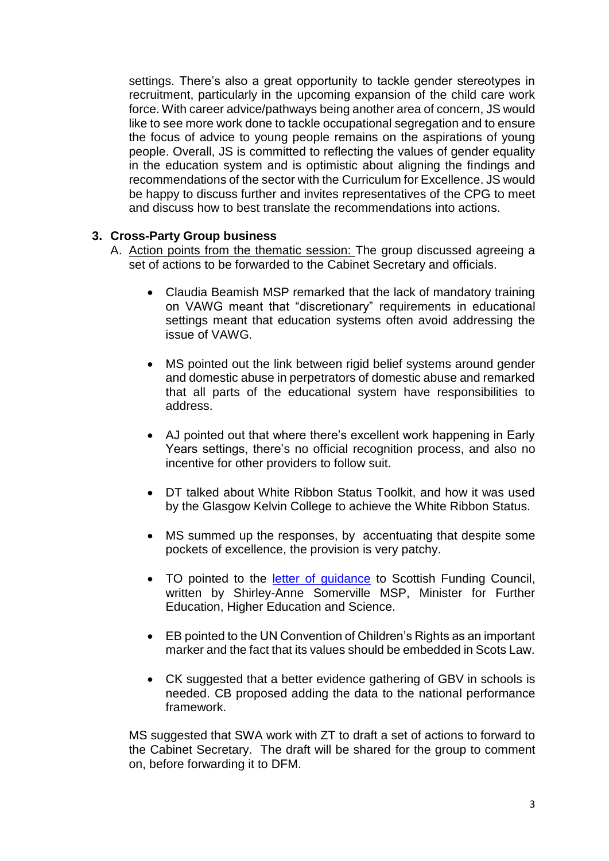settings. There's also a great opportunity to tackle gender stereotypes in recruitment, particularly in the upcoming expansion of the child care work force. With career advice/pathways being another area of concern, JS would like to see more work done to tackle occupational segregation and to ensure the focus of advice to young people remains on the aspirations of young people. Overall, JS is committed to reflecting the values of gender equality in the education system and is optimistic about aligning the findings and recommendations of the sector with the Curriculum for Excellence. JS would be happy to discuss further and invites representatives of the CPG to meet and discuss how to best translate the recommendations into actions.

#### **3. Cross-Party Group business**

- A. Action points from the thematic session: The group discussed agreeing a set of actions to be forwarded to the Cabinet Secretary and officials.
	- Claudia Beamish MSP remarked that the lack of mandatory training on VAWG meant that "discretionary" requirements in educational settings meant that education systems often avoid addressing the issue of VAWG.
	- MS pointed out the link between rigid belief systems around gender and domestic abuse in perpetrators of domestic abuse and remarked that all parts of the educational system have responsibilities to address.
	- AJ pointed out that where there's excellent work happening in Early Years settings, there's no official recognition process, and also no incentive for other providers to follow suit.
	- DT talked about White Ribbon Status Toolkit, and how it was used by the Glasgow Kelvin College to achieve the White Ribbon Status.
	- MS summed up the responses, by accentuating that despite some pockets of excellence, the provision is very patchy.
	- TO pointed to the [letter of guidance](http://www.sfc.ac.uk/web/FILES/AboutUs/SFC_letter_of_guidance_2018-19.pdf) to Scottish Funding Council, written by Shirley-Anne Somerville MSP, Minister for Further Education, Higher Education and Science.
	- EB pointed to the UN Convention of Children's Rights as an important marker and the fact that its values should be embedded in Scots Law.
	- CK suggested that a better evidence gathering of GBV in schools is needed. CB proposed adding the data to the national performance framework.

MS suggested that SWA work with ZT to draft a set of actions to forward to the Cabinet Secretary. The draft will be shared for the group to comment on, before forwarding it to DFM.